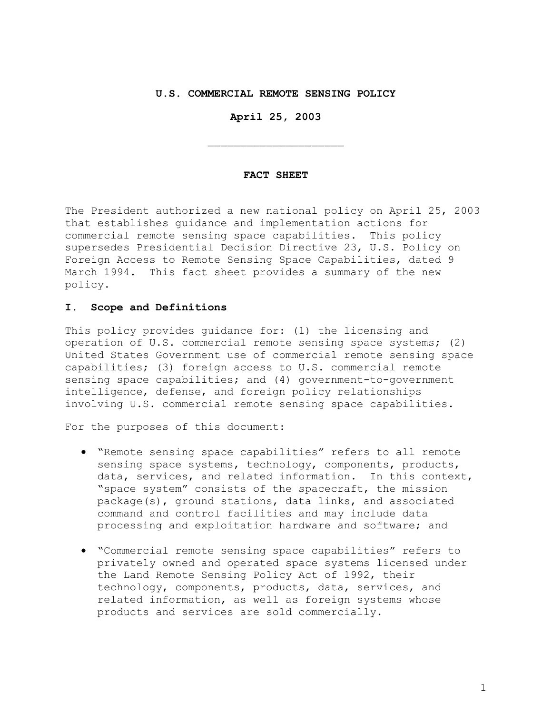### **U.S. COMMERCIAL REMOTE SENSING POLICY**

**April 25, 2003** 

 $\overline{\phantom{a}}$  , where  $\overline{\phantom{a}}$  , where  $\overline{\phantom{a}}$  , where  $\overline{\phantom{a}}$ 

#### **FACT SHEET**

The President authorized a new national policy on April 25, 2003 that establishes guidance and implementation actions for commercial remote sensing space capabilities. This policy supersedes Presidential Decision Directive 23, U.S. Policy on Foreign Access to Remote Sensing Space Capabilities, dated 9 March 1994. This fact sheet provides a summary of the new policy.

### **I. Scope and Definitions**

This policy provides guidance for: (1) the licensing and operation of U.S. commercial remote sensing space systems; (2) United States Government use of commercial remote sensing space capabilities; (3) foreign access to U.S. commercial remote sensing space capabilities; and (4) government-to-government intelligence, defense, and foreign policy relationships involving U.S. commercial remote sensing space capabilities.

For the purposes of this document:

- "Remote sensing space capabilities" refers to all remote sensing space systems, technology, components, products, data, services, and related information. In this context, "space system" consists of the spacecraft, the mission package(s), ground stations, data links, and associated command and control facilities and may include data processing and exploitation hardware and software; and
- "Commercial remote sensing space capabilities" refers to privately owned and operated space systems licensed under the Land Remote Sensing Policy Act of 1992, their technology, components, products, data, services, and related information, as well as foreign systems whose products and services are sold commercially.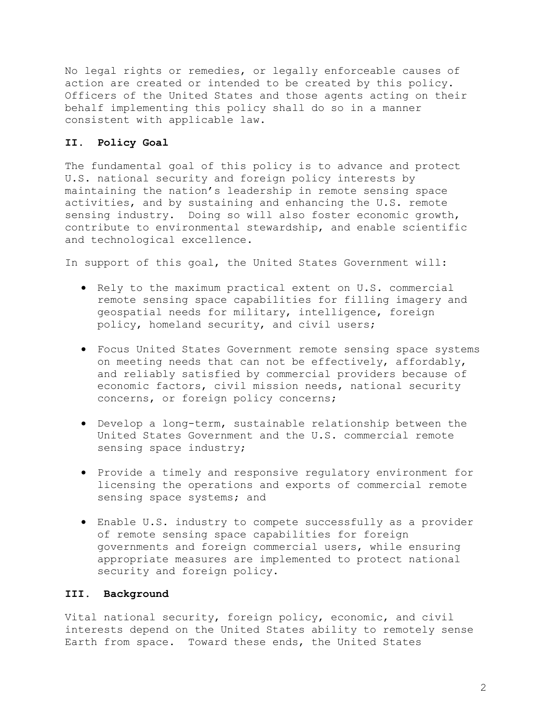No legal rights or remedies, or legally enforceable causes of action are created or intended to be created by this policy. Officers of the United States and those agents acting on their behalf implementing this policy shall do so in a manner consistent with applicable law.

## **II. Policy Goal**

The fundamental goal of this policy is to advance and protect U.S. national security and foreign policy interests by maintaining the nation's leadership in remote sensing space activities, and by sustaining and enhancing the U.S. remote sensing industry. Doing so will also foster economic growth, contribute to environmental stewardship, and enable scientific and technological excellence.

In support of this goal, the United States Government will:

- Rely to the maximum practical extent on U.S. commercial remote sensing space capabilities for filling imagery and geospatial needs for military, intelligence, foreign policy, homeland security, and civil users;
- Focus United States Government remote sensing space systems on meeting needs that can not be effectively, affordably, and reliably satisfied by commercial providers because of economic factors, civil mission needs, national security concerns, or foreign policy concerns;
- Develop a long-term, sustainable relationship between the United States Government and the U.S. commercial remote sensing space industry;
- Provide a timely and responsive regulatory environment for licensing the operations and exports of commercial remote sensing space systems; and
- Enable U.S. industry to compete successfully as a provider of remote sensing space capabilities for foreign governments and foreign commercial users, while ensuring appropriate measures are implemented to protect national security and foreign policy.

## **III. Background**

Vital national security, foreign policy, economic, and civil interests depend on the United States ability to remotely sense Earth from space. Toward these ends, the United States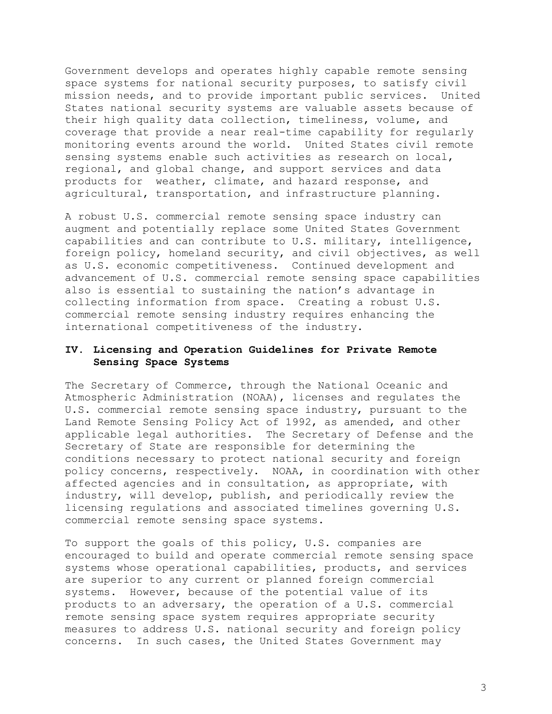Government develops and operates highly capable remote sensing space systems for national security purposes, to satisfy civil mission needs, and to provide important public services. United States national security systems are valuable assets because of their high quality data collection, timeliness, volume, and coverage that provide a near real-time capability for regularly monitoring events around the world. United States civil remote sensing systems enable such activities as research on local, regional, and global change, and support services and data products for weather, climate, and hazard response, and agricultural, transportation, and infrastructure planning.

A robust U.S. commercial remote sensing space industry can augment and potentially replace some United States Government capabilities and can contribute to U.S. military, intelligence, foreign policy, homeland security, and civil objectives, as well as U.S. economic competitiveness. Continued development and advancement of U.S. commercial remote sensing space capabilities also is essential to sustaining the nation's advantage in collecting information from space. Creating a robust U.S. commercial remote sensing industry requires enhancing the international competitiveness of the industry.

## **IV. Licensing and Operation Guidelines for Private Remote Sensing Space Systems**

The Secretary of Commerce, through the National Oceanic and Atmospheric Administration (NOAA), licenses and regulates the U.S. commercial remote sensing space industry, pursuant to the Land Remote Sensing Policy Act of 1992, as amended, and other applicable legal authorities. The Secretary of Defense and the Secretary of State are responsible for determining the conditions necessary to protect national security and foreign policy concerns, respectively. NOAA, in coordination with other affected agencies and in consultation, as appropriate, with industry, will develop, publish, and periodically review the licensing regulations and associated timelines governing U.S. commercial remote sensing space systems.

To support the goals of this policy, U.S. companies are encouraged to build and operate commercial remote sensing space systems whose operational capabilities, products, and services are superior to any current or planned foreign commercial systems. However, because of the potential value of its products to an adversary, the operation of a U.S. commercial remote sensing space system requires appropriate security measures to address U.S. national security and foreign policy concerns. In such cases, the United States Government may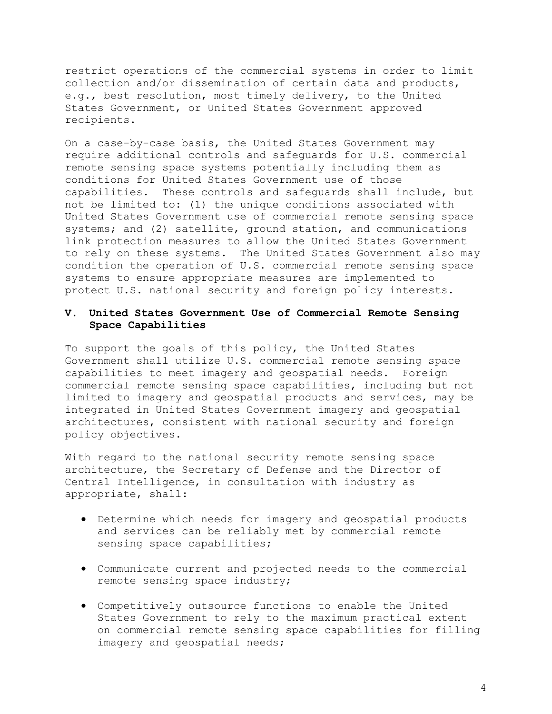restrict operations of the commercial systems in order to limit collection and/or dissemination of certain data and products, e.g., best resolution, most timely delivery, to the United States Government, or United States Government approved recipients.

On a case-by-case basis, the United States Government may require additional controls and safeguards for U.S. commercial remote sensing space systems potentially including them as conditions for United States Government use of those capabilities. These controls and safeguards shall include, but not be limited to: (1) the unique conditions associated with United States Government use of commercial remote sensing space systems; and (2) satellite, ground station, and communications link protection measures to allow the United States Government to rely on these systems. The United States Government also may condition the operation of U.S. commercial remote sensing space systems to ensure appropriate measures are implemented to protect U.S. national security and foreign policy interests.

# **V. United States Government Use of Commercial Remote Sensing Space Capabilities**

To support the goals of this policy, the United States Government shall utilize U.S. commercial remote sensing space capabilities to meet imagery and geospatial needs. Foreign commercial remote sensing space capabilities, including but not limited to imagery and geospatial products and services, may be integrated in United States Government imagery and geospatial architectures, consistent with national security and foreign policy objectives.

With regard to the national security remote sensing space architecture, the Secretary of Defense and the Director of Central Intelligence, in consultation with industry as appropriate, shall:

- Determine which needs for imagery and geospatial products and services can be reliably met by commercial remote sensing space capabilities;
- Communicate current and projected needs to the commercial remote sensing space industry;
- Competitively outsource functions to enable the United States Government to rely to the maximum practical extent on commercial remote sensing space capabilities for filling imagery and geospatial needs;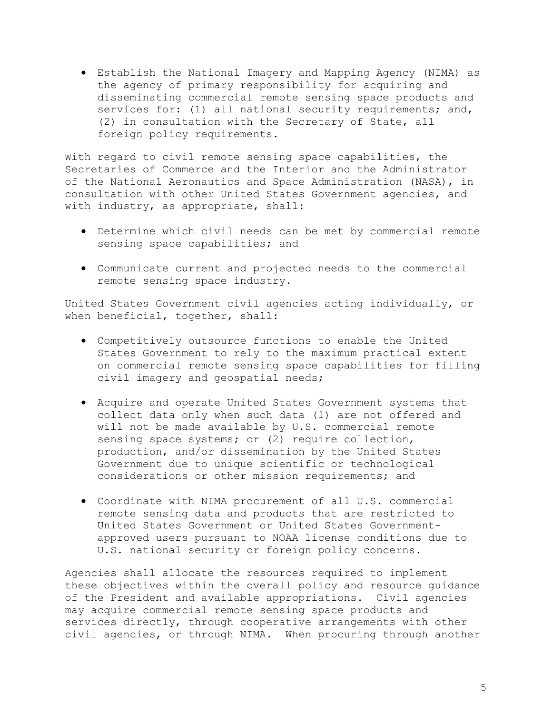• Establish the National Imagery and Mapping Agency (NIMA) as the agency of primary responsibility for acquiring and disseminating commercial remote sensing space products and services for: (1) all national security requirements; and, (2) in consultation with the Secretary of State, all foreign policy requirements.

With regard to civil remote sensing space capabilities, the Secretaries of Commerce and the Interior and the Administrator of the National Aeronautics and Space Administration (NASA), in consultation with other United States Government agencies, and with industry, as appropriate, shall:

- Determine which civil needs can be met by commercial remote sensing space capabilities; and
- Communicate current and projected needs to the commercial remote sensing space industry.

United States Government civil agencies acting individually, or when beneficial, together, shall:

- Competitively outsource functions to enable the United States Government to rely to the maximum practical extent on commercial remote sensing space capabilities for filling civil imagery and geospatial needs;
- Acquire and operate United States Government systems that collect data only when such data (1) are not offered and will not be made available by U.S. commercial remote sensing space systems; or (2) require collection, production, and/or dissemination by the United States Government due to unique scientific or technological considerations or other mission requirements; and
- Coordinate with NIMA procurement of all U.S. commercial remote sensing data and products that are restricted to United States Government or United States Governmentapproved users pursuant to NOAA license conditions due to U.S. national security or foreign policy concerns.

Agencies shall allocate the resources required to implement these objectives within the overall policy and resource guidance of the President and available appropriations. Civil agencies may acquire commercial remote sensing space products and services directly, through cooperative arrangements with other civil agencies, or through NIMA. When procuring through another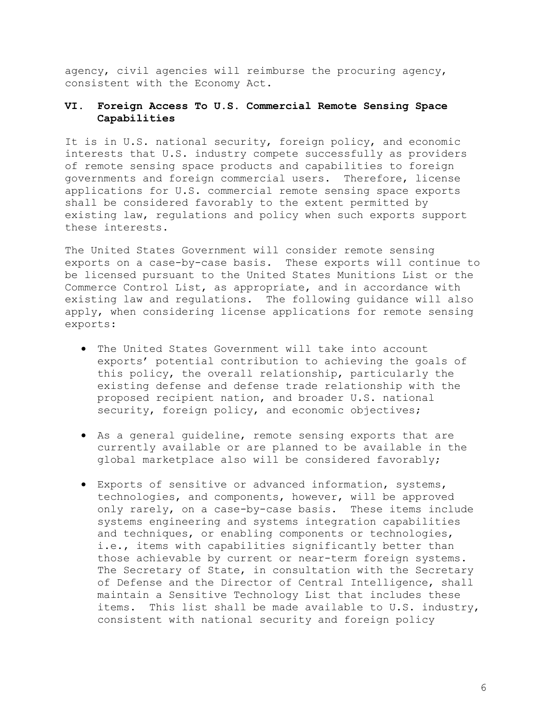agency, civil agencies will reimburse the procuring agency, consistent with the Economy Act.

# **VI. Foreign Access To U.S. Commercial Remote Sensing Space Capabilities**

It is in U.S. national security, foreign policy, and economic interests that U.S. industry compete successfully as providers of remote sensing space products and capabilities to foreign governments and foreign commercial users. Therefore, license applications for U.S. commercial remote sensing space exports shall be considered favorably to the extent permitted by existing law, regulations and policy when such exports support these interests.

The United States Government will consider remote sensing exports on a case-by-case basis. These exports will continue to be licensed pursuant to the United States Munitions List or the Commerce Control List, as appropriate, and in accordance with existing law and regulations. The following guidance will also apply, when considering license applications for remote sensing exports:

- The United States Government will take into account exports' potential contribution to achieving the goals of this policy, the overall relationship, particularly the existing defense and defense trade relationship with the proposed recipient nation, and broader U.S. national security, foreign policy, and economic objectives;
- As a general guideline, remote sensing exports that are currently available or are planned to be available in the global marketplace also will be considered favorably;
- Exports of sensitive or advanced information, systems, technologies, and components, however, will be approved only rarely, on a case-by-case basis. These items include systems engineering and systems integration capabilities and techniques, or enabling components or technologies, i.e., items with capabilities significantly better than those achievable by current or near-term foreign systems. The Secretary of State, in consultation with the Secretary of Defense and the Director of Central Intelligence, shall maintain a Sensitive Technology List that includes these items. This list shall be made available to U.S. industry, consistent with national security and foreign policy